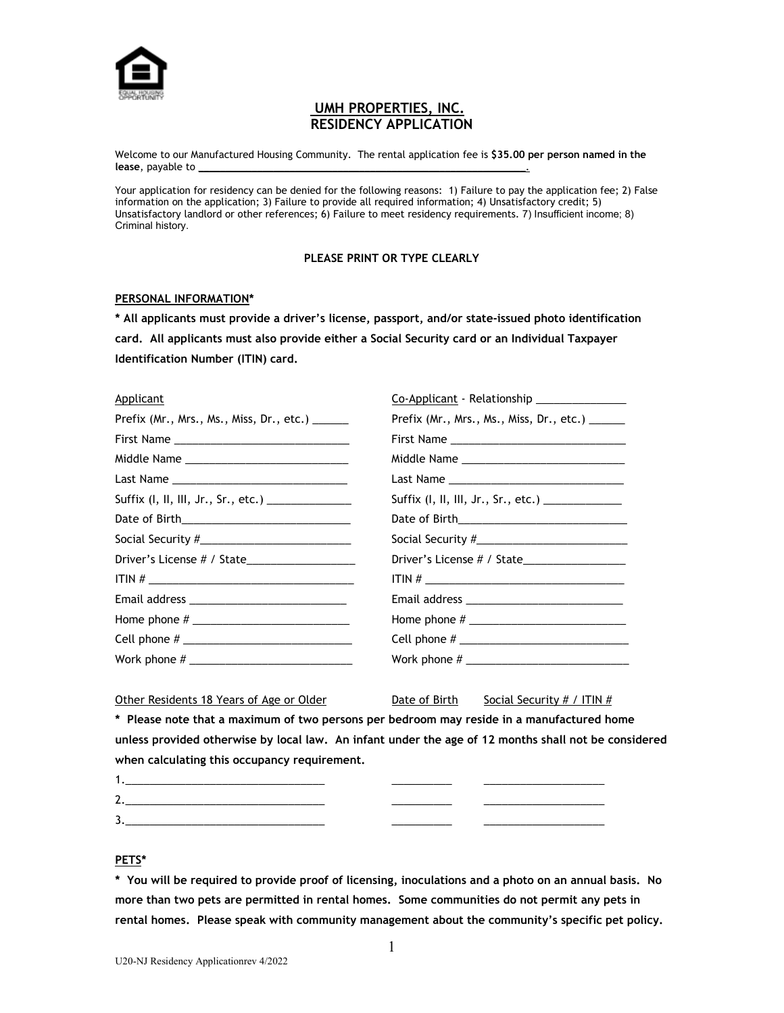

# **UMH PROPERTIES, INC. RESIDENCY APPLICATION**

Welcome to our Manufactured Housing Community. The rental application fee is **\$35.00 per person named in the**  lease, payable to

Your application for residency can be denied for the following reasons: 1) Failure to pay the application fee; 2) False information on the application; 3) Failure to provide all required information; 4) Unsatisfactory credit; 5) Unsatisfactory landlord or other references; 6) Failure to meet residency requirements. 7) Insufficient income; 8) Criminal history.

#### **PLEASE PRINT OR TYPE CLEARLY**

#### **PERSONAL INFORMATION\***

**\* All applicants must provide a driver's license, passport, and/or state-issued photo identification card. All applicants must also provide either a Social Security card or an Individual Taxpayer Identification Number (ITIN) card.**

| Applicant                                          | Co-Applicant - Relationship _______________       |
|----------------------------------------------------|---------------------------------------------------|
| Prefix (Mr., Mrs., Ms., Miss, Dr., etc.) ______    | Prefix (Mr., Mrs., Ms., Miss, Dr., etc.) ______   |
|                                                    |                                                   |
| Middle Name _________________________________      |                                                   |
|                                                    |                                                   |
| Suffix (I, II, III, Jr., Sr., etc.) ______________ | Suffix (I, II, III, Jr., Sr., etc.) _____________ |
|                                                    |                                                   |
|                                                    |                                                   |
|                                                    |                                                   |
|                                                    |                                                   |
|                                                    |                                                   |
|                                                    |                                                   |
|                                                    |                                                   |
|                                                    |                                                   |
|                                                    |                                                   |

Other Residents 18 Years of Age or Older Date of Birth Social Security # / ITIN #

**\* Please note that a maximum of two persons per bedroom may reside in a manufactured home unless provided otherwise by local law. An infant under the age of 12 months shall not be considered when calculating this occupancy requirement.**

| $\overline{\phantom{a}}$ . The contract of the contract of the contract of the contract of the contract of the contract of the contract of the contract of the contract of the contract of the contract of the contract of the contract of | __________ |  |
|--------------------------------------------------------------------------------------------------------------------------------------------------------------------------------------------------------------------------------------------|------------|--|
| the contract of the contract of the contract of the contract of the contract of                                                                                                                                                            |            |  |
|                                                                                                                                                                                                                                            |            |  |

#### **PETS\***

**\* You will be required to provide proof of licensing, inoculations and a photo on an annual basis. No more than two pets are permitted in rental homes. Some communities do not permit any pets in rental homes. Please speak with community management about the community's specific pet policy.**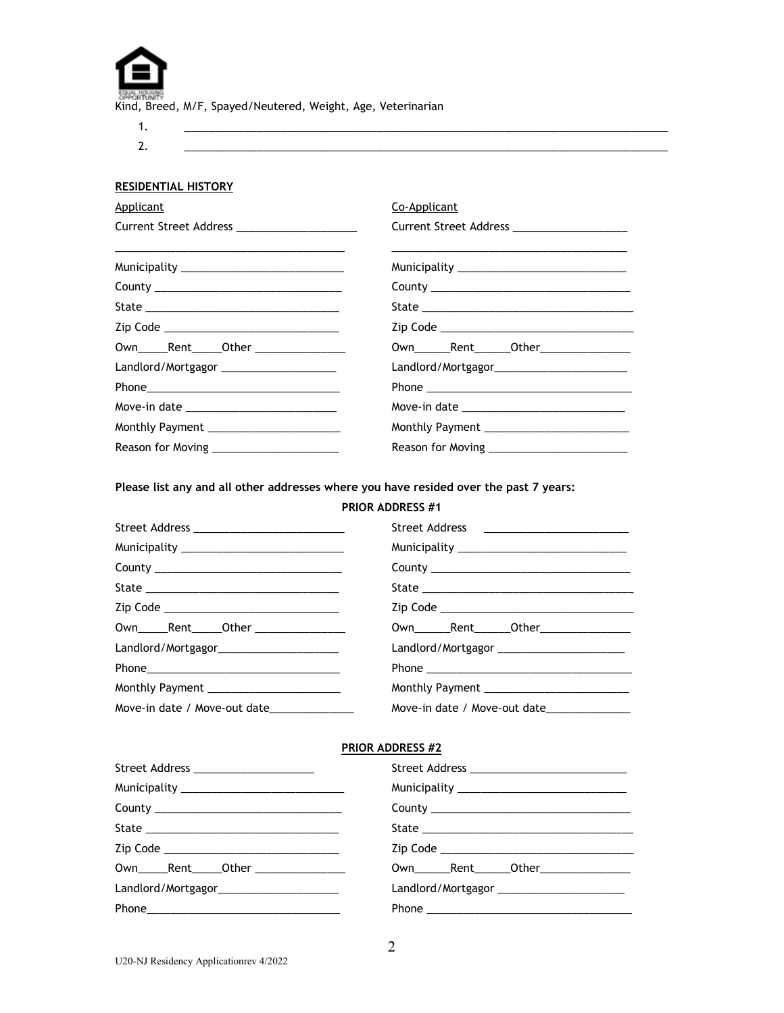| <b>SSHALTONING</b> |                                                              |  |  |
|--------------------|--------------------------------------------------------------|--|--|
|                    | Kind, Breed, M/F, Spayed/Neutered, Weight, Age, Veterinarian |  |  |

1. \_\_\_\_\_\_\_\_\_\_\_\_\_\_\_\_\_\_\_\_\_\_\_\_\_\_\_\_\_\_\_\_\_\_\_\_\_\_\_\_\_\_\_\_\_\_\_\_\_\_\_\_\_\_\_\_\_\_\_\_\_\_\_\_\_\_\_\_\_\_\_\_\_\_\_\_\_\_\_\_ 2. \_\_\_\_\_\_\_\_\_\_\_\_\_\_\_\_\_\_\_\_\_\_\_\_\_\_\_\_\_\_\_\_\_\_\_\_\_\_\_\_\_\_\_\_\_\_\_\_\_\_\_\_\_\_\_\_\_\_\_\_\_\_\_\_\_\_\_\_\_\_\_\_\_\_\_\_\_\_\_\_

# **RESIDENTIAL HISTORY**

| <u>Applicant</u>                              | Co-Applicant                                   |
|-----------------------------------------------|------------------------------------------------|
| Current Street Address _____________________  | Current Street Address _____________________   |
| Municipality ______________________________   |                                                |
|                                               |                                                |
|                                               |                                                |
| Zip Code ________________________________     |                                                |
| 0wn_______Rent_______0ther __________________ | Own________Rent_______Other_________________   |
| Landlord/Mortgagor ______________________     | Landlord/Mortgagor___________________________  |
|                                               |                                                |
|                                               | Move-in date _________________________________ |
| Monthly Payment _________________________     |                                                |
|                                               |                                                |

**Please list any and all other addresses where you have resided over the past 7 years:**

# **PRIOR ADDRESS #1**

|                                            | Street Address ___________________________  |
|--------------------------------------------|---------------------------------------------|
|                                            |                                             |
|                                            |                                             |
|                                            |                                             |
| Zip Code _________________________________ |                                             |
| Own______Rent______Other ________________  |                                             |
| Landlord/Mortgagor_______________________  | Landlord/Mortgagor ________________________ |
|                                            |                                             |
| Monthly Payment _______________________    |                                             |
| Move-in date / Move-out date               | Move-in date / Move-out date_______________ |

# **PRIOR ADDRESS #2**

| Street Address ______________________        |                                                 |
|----------------------------------------------|-------------------------------------------------|
|                                              | Municipality __________________________________ |
| County ___________________________________   |                                                 |
|                                              |                                                 |
| Zip Code _________________________________   |                                                 |
| 0wn_______Rent_______0ther _________________ | Own_______Rent_______Other_________________     |
|                                              |                                                 |
|                                              |                                                 |
|                                              |                                                 |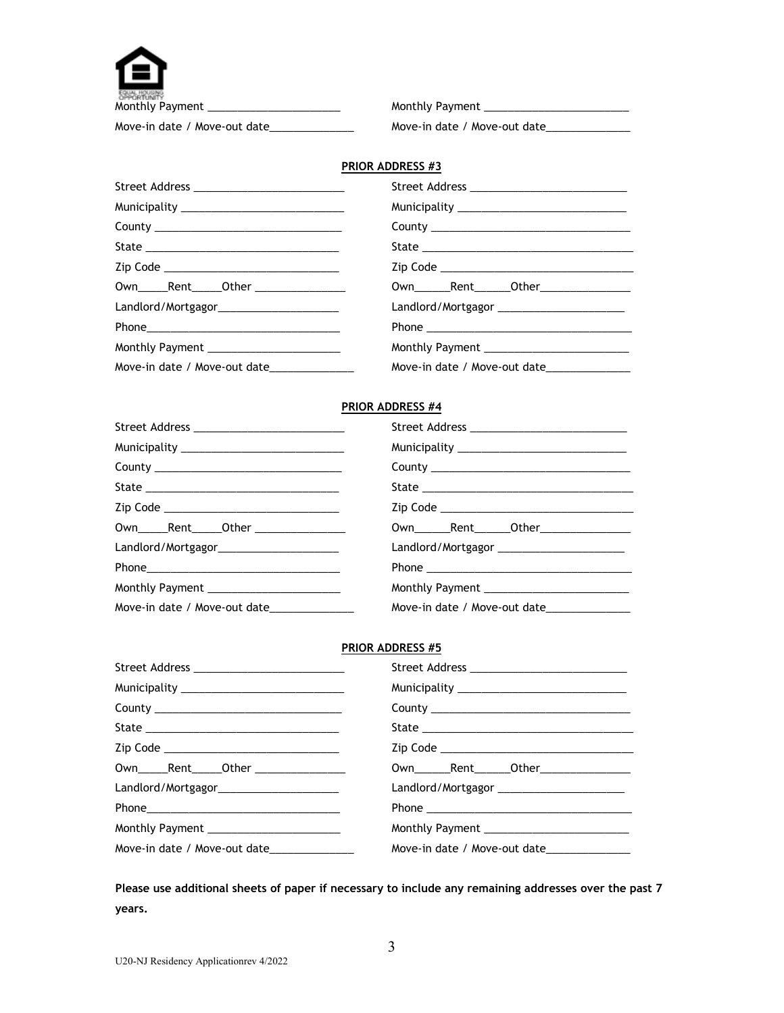| Monthly<br>D<br>s |
|-------------------|

Monthly Payment \_\_\_\_\_\_\_\_\_\_\_\_\_\_\_\_\_\_\_\_\_\_ Monthly Payment \_\_\_\_\_\_\_\_\_\_\_\_\_\_\_\_\_\_\_\_\_\_\_\_ Move-in date / Move-out date\_\_\_\_\_\_\_\_\_\_\_\_\_\_\_\_\_\_\_ Move-in date / Move-out date\_\_\_\_\_\_\_\_\_\_\_\_\_\_\_\_\_\_\_\_\_\_\_\_\_\_\_\_\_\_\_\_\_\_

## **PRIOR ADDRESS #3**

| Street Address _____________________________ | Street Address ______________________________  |
|----------------------------------------------|------------------------------------------------|
| Municipality _______________________________ | Municipality _________________________________ |
|                                              |                                                |
|                                              |                                                |
| Zip Code _________________________________   |                                                |
| Own______Rent______Other _________________   | 0wn________Rent________0ther__________________ |
| Landlord/Mortgagor_______________________    | Landlord/Mortgagor ______________________      |
|                                              |                                                |
| Monthly Payment _________________________    |                                                |
| Move-in date / Move-out date________________ | Move-in date / Move-out date____________       |

## **PRIOR ADDRESS #4**

| Street Address ____________________________   |                                            |
|-----------------------------------------------|--------------------------------------------|
|                                               |                                            |
|                                               |                                            |
|                                               |                                            |
|                                               |                                            |
| 0wn_______Rent_______0ther __________________ |                                            |
|                                               | Landlord/Mortgagor _______________________ |
|                                               |                                            |
| Monthly Payment                               |                                            |
| Move-in date / Move-out date______________    |                                            |

### **PRIOR ADDRESS #5**

| Street Address ___________________________   | Street Address _______________________________ |
|----------------------------------------------|------------------------------------------------|
|                                              |                                                |
|                                              |                                                |
|                                              |                                                |
|                                              |                                                |
| 0wn_______Rent_______0ther _________________ |                                                |
| Landlord/Mortgagor_______________________    | Landlord/Mortgagor ________________________    |
|                                              |                                                |
| Monthly Payment _______________________      |                                                |
| Move-in date / Move-out date______________   | Move-in date / Move-out date                   |

**Please use additional sheets of paper if necessary to include any remaining addresses over the past 7 years.**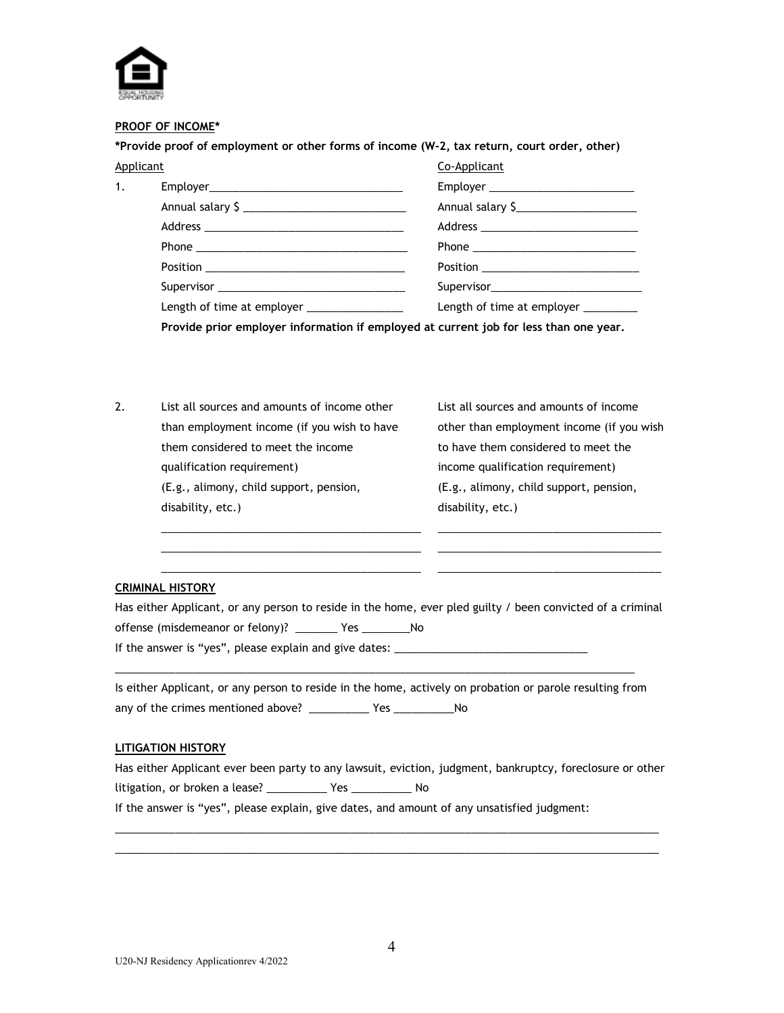

## **PROOF OF INCOME\***

**\*Provide proof of employment or other forms of income (W-2, tax return, court order, other)**

| <b>Applicant</b> |                                            | Co-Applicant                        |
|------------------|--------------------------------------------|-------------------------------------|
| 1.               |                                            | Employer __________________________ |
|                  | Annual salary \$                           | Annual salary \$                    |
|                  |                                            |                                     |
|                  |                                            |                                     |
|                  |                                            |                                     |
|                  |                                            |                                     |
|                  | Length of time at employer _______________ | Length of time at employer ________ |
|                  |                                            |                                     |

**Provide prior employer information if employed at current job for less than one year.**

2. List all sources and amounts of income other List all sources and amounts of income than employment income (if you wish to have other than employment income (if you wish them considered to meet the income them considered to meet the qualification requirement) income qualification requirement) (E.g., alimony, child support, pension, (E.g., alimony, child support, pension, disability, etc.) and the disability, etc.)

## **CRIMINAL HISTORY**

| Has either Applicant, or any person to reside in the home, ever pled guilty / been convicted of a criminal |  |
|------------------------------------------------------------------------------------------------------------|--|
| offense (misdemeanor or felony)? The Yes                                                                   |  |
| If the answer is "yes", please explain and give dates:                                                     |  |

\_\_\_\_\_\_\_\_\_\_\_\_\_\_\_\_\_\_\_\_\_\_\_\_\_\_\_\_\_\_\_\_\_\_\_\_\_\_\_\_\_\_\_ \_\_\_\_\_\_\_\_\_\_\_\_\_\_\_\_\_\_\_\_\_\_\_\_\_\_\_\_\_\_\_\_\_\_\_\_\_ \_\_\_\_\_\_\_\_\_\_\_\_\_\_\_\_\_\_\_\_\_\_\_\_\_\_\_\_\_\_\_\_\_\_\_\_\_\_\_\_\_\_\_ \_\_\_\_\_\_\_\_\_\_\_\_\_\_\_\_\_\_\_\_\_\_\_\_\_\_\_\_\_\_\_\_\_\_\_\_\_ \_\_\_\_\_\_\_\_\_\_\_\_\_\_\_\_\_\_\_\_\_\_\_\_\_\_\_\_\_\_\_\_\_\_\_\_\_\_\_\_\_\_\_ \_\_\_\_\_\_\_\_\_\_\_\_\_\_\_\_\_\_\_\_\_\_\_\_\_\_\_\_\_\_\_\_\_\_\_\_\_

Is either Applicant, or any person to reside in the home, actively on probation or parole resulting from any of the crimes mentioned above? \_\_\_\_\_\_\_\_\_\_\_\_ Yes \_\_\_\_\_\_\_\_\_\_\_\_\_\_No

\_\_\_\_\_\_\_\_\_\_\_\_\_\_\_\_\_\_\_\_\_\_\_\_\_\_\_\_\_\_\_\_\_\_\_\_\_\_\_\_\_\_\_\_\_\_\_\_\_\_\_\_\_\_\_\_\_\_\_\_\_\_\_\_\_\_\_\_\_\_\_\_\_\_\_\_\_\_\_\_\_\_\_\_\_\_

## **LITIGATION HISTORY**

|                                |  |  |  | Has either Applicant ever been party to any lawsuit, eviction, judgment, bankruptcy, foreclosure or other |  |
|--------------------------------|--|--|--|-----------------------------------------------------------------------------------------------------------|--|
| litigation, or broken a lease? |  |  |  |                                                                                                           |  |

\_\_\_\_\_\_\_\_\_\_\_\_\_\_\_\_\_\_\_\_\_\_\_\_\_\_\_\_\_\_\_\_\_\_\_\_\_\_\_\_\_\_\_\_\_\_\_\_\_\_\_\_\_\_\_\_\_\_\_\_\_\_\_\_\_\_\_\_\_\_\_\_\_\_\_\_\_\_\_\_\_\_\_\_\_\_\_\_\_\_ \_\_\_\_\_\_\_\_\_\_\_\_\_\_\_\_\_\_\_\_\_\_\_\_\_\_\_\_\_\_\_\_\_\_\_\_\_\_\_\_\_\_\_\_\_\_\_\_\_\_\_\_\_\_\_\_\_\_\_\_\_\_\_\_\_\_\_\_\_\_\_\_\_\_\_\_\_\_\_\_\_\_\_\_\_\_\_\_\_\_

If the answer is "yes", please explain, give dates, and amount of any unsatisfied judgment: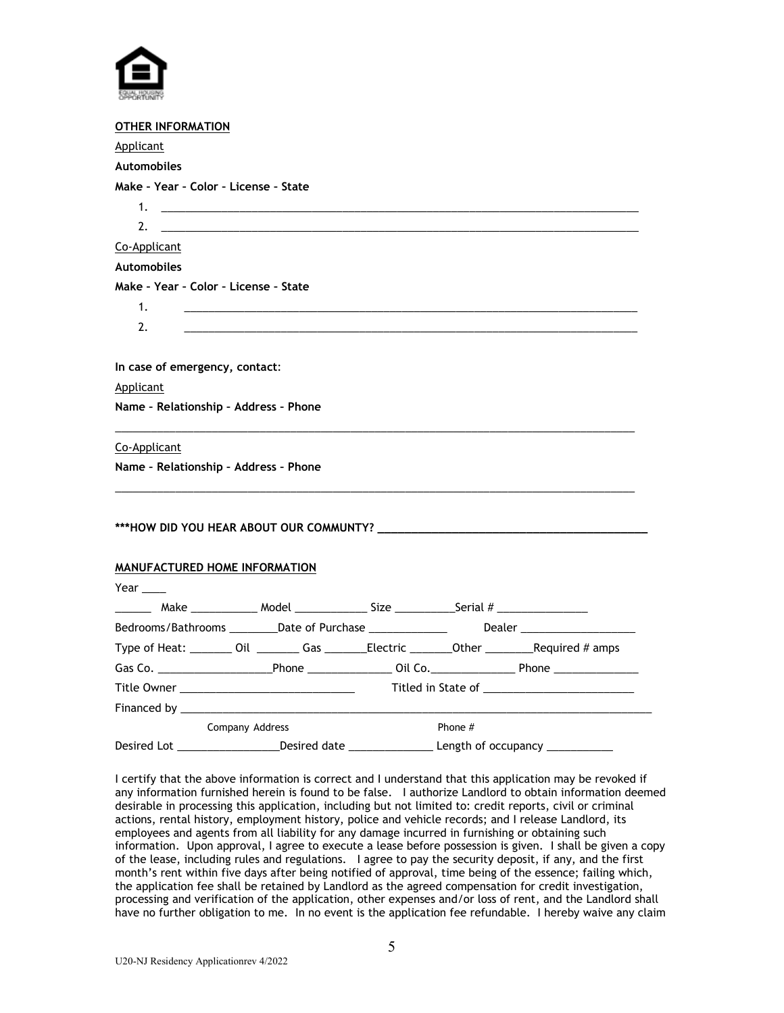

| <b>OTHER INFORMATION</b>                              |                                                                                                    |  |                                                                                                                                                                                                                                    |
|-------------------------------------------------------|----------------------------------------------------------------------------------------------------|--|------------------------------------------------------------------------------------------------------------------------------------------------------------------------------------------------------------------------------------|
| Applicant                                             |                                                                                                    |  |                                                                                                                                                                                                                                    |
| <b>Automobiles</b>                                    |                                                                                                    |  |                                                                                                                                                                                                                                    |
| Make - Year - Color - License - State                 |                                                                                                    |  |                                                                                                                                                                                                                                    |
|                                                       |                                                                                                    |  |                                                                                                                                                                                                                                    |
| 2.                                                    |                                                                                                    |  |                                                                                                                                                                                                                                    |
| Co-Applicant                                          |                                                                                                    |  |                                                                                                                                                                                                                                    |
| <b>Automobiles</b>                                    |                                                                                                    |  |                                                                                                                                                                                                                                    |
| Make - Year - Color - License - State<br>1.<br>2.     |                                                                                                    |  |                                                                                                                                                                                                                                    |
| In case of emergency, contact:<br><b>Applicant</b>    |                                                                                                    |  |                                                                                                                                                                                                                                    |
| Name - Relationship - Address - Phone                 |                                                                                                    |  |                                                                                                                                                                                                                                    |
| Co-Applicant<br>Name - Relationship - Address - Phone |                                                                                                    |  |                                                                                                                                                                                                                                    |
|                                                       |                                                                                                    |  |                                                                                                                                                                                                                                    |
| <b>MANUFACTURED HOME INFORMATION</b>                  |                                                                                                    |  |                                                                                                                                                                                                                                    |
| Year $\_\_\_\_\$                                      |                                                                                                    |  |                                                                                                                                                                                                                                    |
|                                                       | ________ Make _______________ Model _______________ Size ____________Serial # ____________________ |  |                                                                                                                                                                                                                                    |
|                                                       | Bedrooms/Bathrooms __________Date of Purchase _______________                                      |  | <b>Dealer Second Second Second Second Second Second Second Second Second Second Second Second Second Second Second Second Second Second Second Second Second Second Second Second Second Second Second Second Second Second Se</b> |
|                                                       | Type of Heat: ________ Oil _________ Gas ________Electric ________Other _________Required # amps   |  |                                                                                                                                                                                                                                    |
|                                                       |                                                                                                    |  |                                                                                                                                                                                                                                    |
|                                                       |                                                                                                    |  |                                                                                                                                                                                                                                    |
|                                                       |                                                                                                    |  |                                                                                                                                                                                                                                    |
| Company Address                                       | Phone $#$                                                                                          |  |                                                                                                                                                                                                                                    |
|                                                       |                                                                                                    |  |                                                                                                                                                                                                                                    |

I certify that the above information is correct and I understand that this application may be revoked if any information furnished herein is found to be false. I authorize Landlord to obtain information deemed desirable in processing this application, including but not limited to: credit reports, civil or criminal actions, rental history, employment history, police and vehicle records; and I release Landlord, its employees and agents from all liability for any damage incurred in furnishing or obtaining such information. Upon approval, I agree to execute a lease before possession is given. I shall be given a copy of the lease, including rules and regulations. I agree to pay the security deposit, if any, and the first month's rent within five days after being notified of approval, time being of the essence; failing which, the application fee shall be retained by Landlord as the agreed compensation for credit investigation, processing and verification of the application, other expenses and/or loss of rent, and the Landlord shall have no further obligation to me. In no event is the application fee refundable. I hereby waive any claim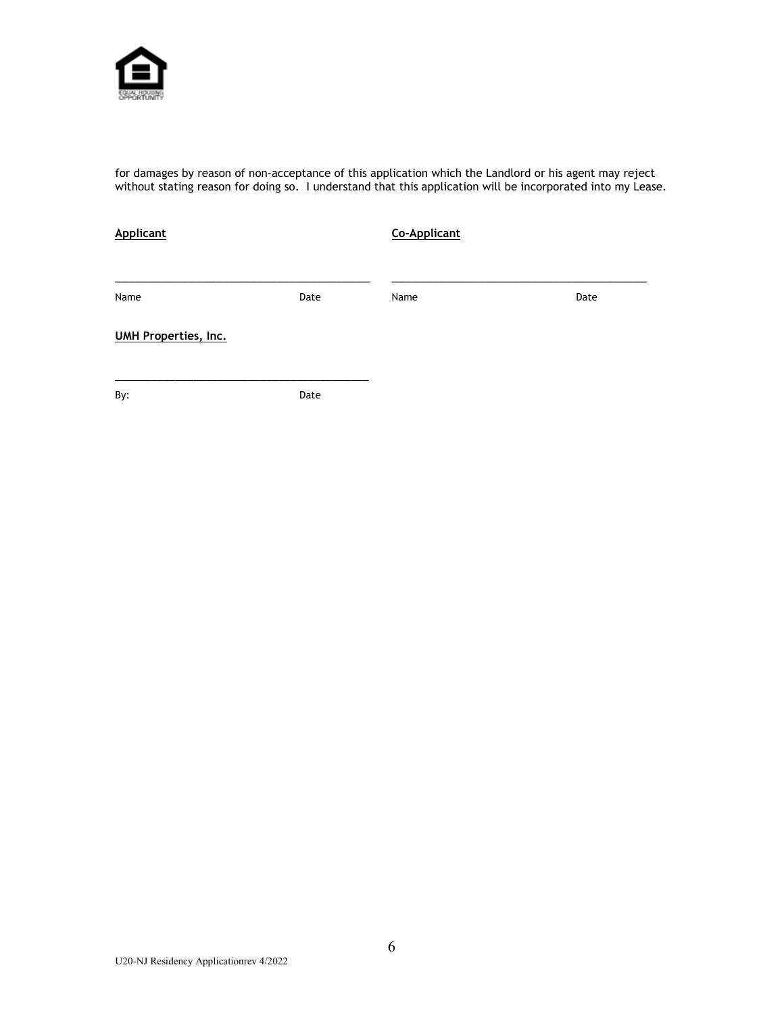

for damages by reason of non-acceptance of this application which the Landlord or his agent may reject without stating reason for doing so. I understand that this application will be incorporated into my Lease.

| <b>Applicant</b>            |      | <b>Co-Applicant</b> |      |  |
|-----------------------------|------|---------------------|------|--|
|                             |      |                     |      |  |
| Name                        | Date | Name                | Date |  |
| <b>UMH Properties, Inc.</b> |      |                     |      |  |
| By:                         | Date |                     |      |  |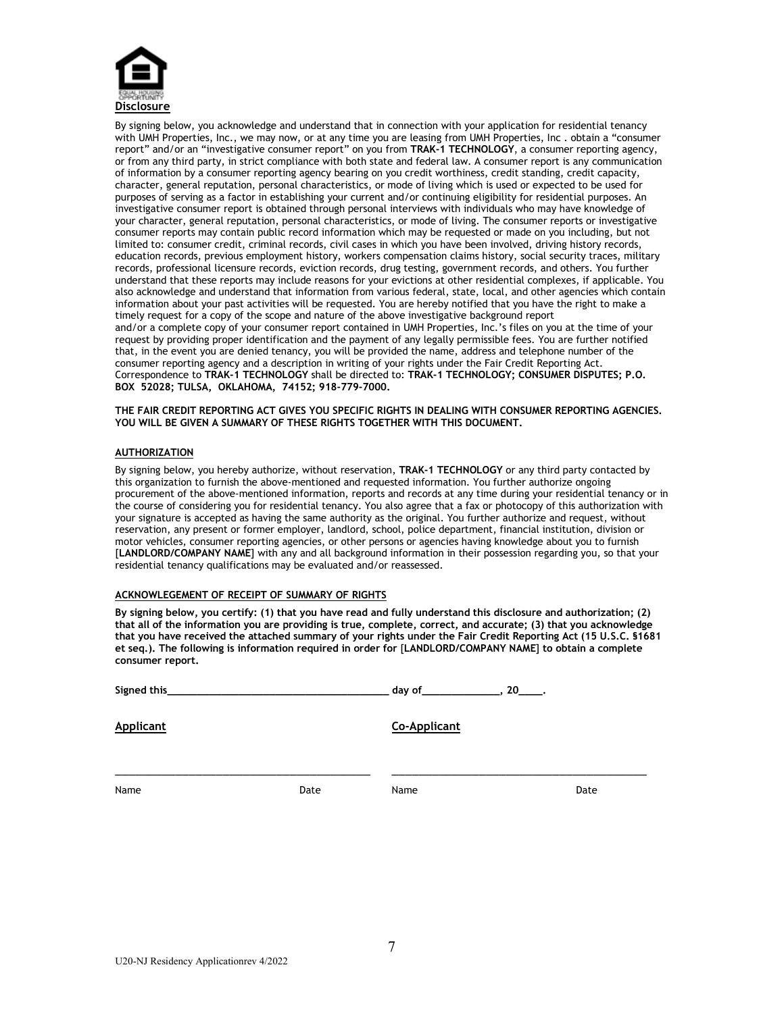

By signing below, you acknowledge and understand that in connection with your application for residential tenancy with UMH Properties, Inc., we may now, or at any time you are leasing from UMH Properties, Inc . obtain a "consumer report" and/or an "investigative consumer report" on you from **TRAK-1 TECHNOLOGY**, a consumer reporting agency, or from any third party, in strict compliance with both state and federal law. A consumer report is any communication of information by a consumer reporting agency bearing on you credit worthiness, credit standing, credit capacity, character, general reputation, personal characteristics, or mode of living which is used or expected to be used for purposes of serving as a factor in establishing your current and/or continuing eligibility for residential purposes. An investigative consumer report is obtained through personal interviews with individuals who may have knowledge of your character, general reputation, personal characteristics, or mode of living. The consumer reports or investigative consumer reports may contain public record information which may be requested or made on you including, but not limited to: consumer credit, criminal records, civil cases in which you have been involved, driving history records, education records, previous employment history, workers compensation claims history, social security traces, military records, professional licensure records, eviction records, drug testing, government records, and others. You further understand that these reports may include reasons for your evictions at other residential complexes, if applicable. You also acknowledge and understand that information from various federal, state, local, and other agencies which contain information about your past activities will be requested. You are hereby notified that you have the right to make a timely request for a copy of the scope and nature of the above investigative background report and/or a complete copy of your consumer report contained in UMH Properties, Inc.'s files on you at the time of your request by providing proper identification and the payment of any legally permissible fees. You are further notified that, in the event you are denied tenancy, you will be provided the name, address and telephone number of the consumer reporting agency and a description in writing of your rights under the Fair Credit Reporting Act. Correspondence to **TRAK-1 TECHNOLOGY** shall be directed to: **TRAK-1 TECHNOLOGY; CONSUMER DISPUTES; P.O. BOX 52028; TULSA, OKLAHOMA, 74152; 918-779-7000.**

**THE FAIR CREDIT REPORTING ACT GIVES YOU SPECIFIC RIGHTS IN DEALING WITH CONSUMER REPORTING AGENCIES. YOU WILL BE GIVEN A SUMMARY OF THESE RIGHTS TOGETHER WITH THIS DOCUMENT.**

#### **AUTHORIZATION**

By signing below, you hereby authorize, without reservation, **TRAK-1 TECHNOLOGY** or any third party contacted by this organization to furnish the above-mentioned and requested information. You further authorize ongoing procurement of the above-mentioned information, reports and records at any time during your residential tenancy or in the course of considering you for residential tenancy. You also agree that a fax or photocopy of this authorization with your signature is accepted as having the same authority as the original. You further authorize and request, without reservation, any present or former employer, landlord, school, police department, financial institution, division or motor vehicles, consumer reporting agencies, or other persons or agencies having knowledge about you to furnish [**LANDLORD/COMPANY NAME**] with any and all background information in their possession regarding you, so that your residential tenancy qualifications may be evaluated and/or reassessed.

#### **ACKNOWLEGEMENT OF RECEIPT OF SUMMARY OF RIGHTS**

**By signing below, you certify: (1) that you have read and fully understand this disclosure and authorization; (2) that all of the information you are providing is true, complete, correct, and accurate; (3) that you acknowledge that you have received the attached summary of your rights under the Fair Credit Reporting Act (15 U.S.C. §1681 et seq.). The following is information required in order for** [**LANDLORD/COMPANY NAME**] **to obtain a complete consumer report.**

| Signed this_     |      | day of<br>$.20$ — $.$ |      |  |  |
|------------------|------|-----------------------|------|--|--|
| <b>Applicant</b> |      | <b>Co-Applicant</b>   |      |  |  |
| Name             | Date | Name                  | Date |  |  |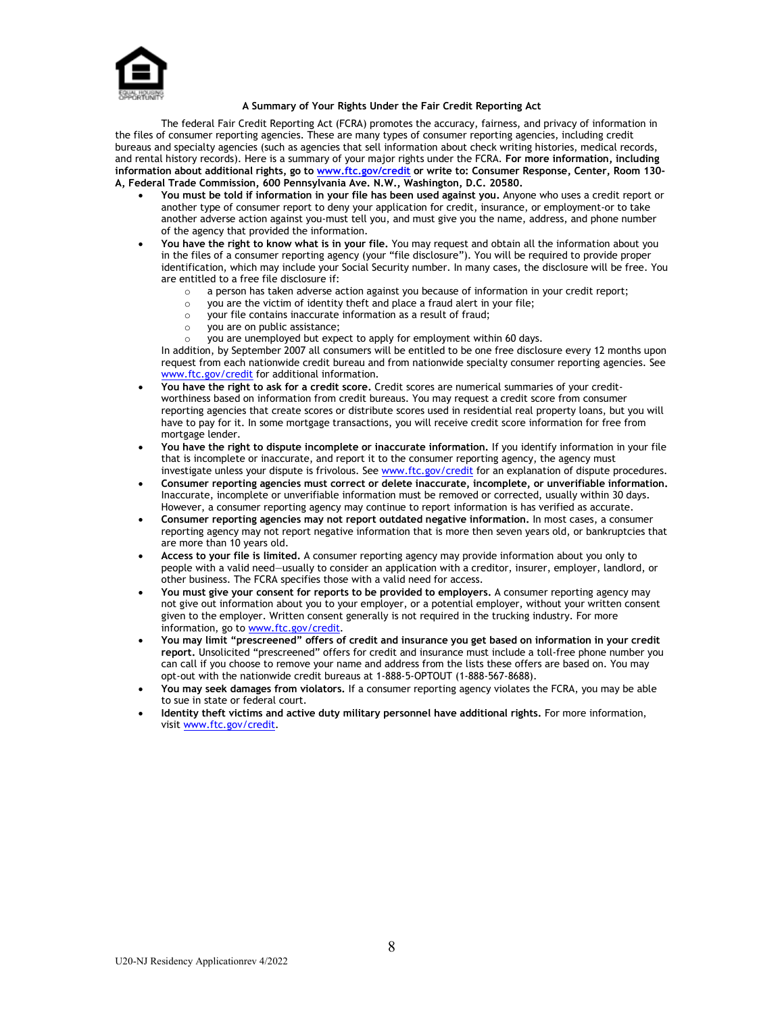

#### **A Summary of Your Rights Under the Fair Credit Reporting Act**

The federal Fair Credit Reporting Act (FCRA) promotes the accuracy, fairness, and privacy of information in the files of consumer reporting agencies. These are many types of consumer reporting agencies, including credit bureaus and specialty agencies (such as agencies that sell information about check writing histories, medical records, and rental history records). Here is a summary of your major rights under the FCRA. **For more information, including information about additional rights, go t[o www.ftc.gov/credit](http://www.ftc.gov/credit) or write to: Consumer Response, Center, Room 130- A, Federal Trade Commission, 600 Pennsylvania Ave. N.W., Washington, D.C. 20580.**

- **You must be told if information in your file has been used against you.** Anyone who uses a credit report or another type of consumer report to deny your application for credit, insurance, or employment-or to take another adverse action against you-must tell you, and must give you the name, address, and phone number of the agency that provided the information.
- **You have the right to know what is in your file.** You may request and obtain all the information about you in the files of a consumer reporting agency (your "file disclosure"). You will be required to provide proper identification, which may include your Social Security number. In many cases, the disclosure will be free. You are entitled to a free file disclosure if:
	- $\circ$  a person has taken adverse action against you because of information in your credit report;<br> $\circ$  you are the victim of identity theft and place a fraud alert in your file;
		- you are the victim of identity theft and place a fraud alert in your file;
	- $\circ$  your file contains inaccurate information as a result of fraud;<br> $\circ$  you are on public assistance:
	- you are on public assistance;
		- you are unemployed but expect to apply for employment within 60 days.

In addition, by September 2007 all consumers will be entitled to be one free disclosure every 12 months upon request from each nationwide credit bureau and from nationwide specialty consumer reporting agencies. See [www.ftc.gov/credit](http://www.ftc.gov/credit) for additional information.

- **You have the right to ask for a credit score.** Credit scores are numerical summaries of your creditworthiness based on information from credit bureaus. You may request a credit score from consumer reporting agencies that create scores or distribute scores used in residential real property loans, but you will have to pay for it. In some mortgage transactions, you will receive credit score information for free from mortgage lender.
- **You have the right to dispute incomplete or inaccurate information.** If you identify information in your file that is incomplete or inaccurate, and report it to the consumer reporting agency, the agency must investigate unless your dispute is frivolous. See [www.ftc.gov/credit](http://www.ftc.gov/credit) for an explanation of dispute procedures.
- **Consumer reporting agencies must correct or delete inaccurate, incomplete, or unverifiable information.**  Inaccurate, incomplete or unverifiable information must be removed or corrected, usually within 30 days. However, a consumer reporting agency may continue to report information is has verified as accurate.
- **Consumer reporting agencies may not report outdated negative information.** In most cases, a consumer reporting agency may not report negative information that is more then seven years old, or bankruptcies that are more than 10 years old.
- **Access to your file is limited.** A consumer reporting agency may provide information about you only to people with a valid need—usually to consider an application with a creditor, insurer, employer, landlord, or other business. The FCRA specifies those with a valid need for access.
- **You must give your consent for reports to be provided to employers.** A consumer reporting agency may not give out information about you to your employer, or a potential employer, without your written consent given to the employer. Written consent generally is not required in the trucking industry. For more information, go to [www.ftc.gov/credit.](http://www.ftc.gov/credit)
- **You may limit "prescreened" offers of credit and insurance you get based on information in your credit report.** Unsolicited "prescreened" offers for credit and insurance must include a toll-free phone number you can call if you choose to remove your name and address from the lists these offers are based on. You may opt-out with the nationwide credit bureaus at 1-888-5-OPTOUT (1-888-567-8688).
- **You may seek damages from violators.** If a consumer reporting agency violates the FCRA, you may be able to sue in state or federal court.
- **Identity theft victims and active duty military personnel have additional rights.** For more information, visit [www.ftc.gov/credit.](http://www.ftc.gov/credit)